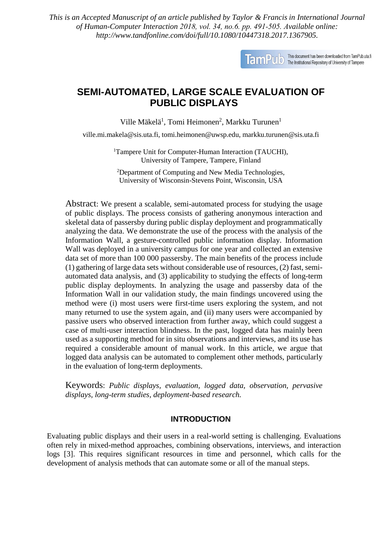*This is an Accepted Manuscript of an article published by Taylor & Francis in International Journal of Human-Computer Interaction 2018, vol. 34, no.6. pp. 491-505. Available online: http://www.tandfonline.com/doi/full/10.1080/10447318.2017.1367905.* 

TamPulo This document has been downloaded from TamPub.uta.fi

# **SEMI-AUTOMATED, LARGE SCALE EVALUATION OF PUBLIC DISPLAYS**

Ville Mäkelä<sup>1</sup>, Tomi Heimonen<sup>2</sup>, Markku Turunen<sup>1</sup>

ville.mi.makela@sis.uta.fi, tomi.heimonen@uwsp.edu, markku.turunen@sis.uta.fi

<sup>1</sup>Tampere Unit for Computer-Human Interaction (TAUCHI), University of Tampere, Tampere, Finland

<sup>2</sup>Department of Computing and New Media Technologies, University of Wisconsin-Stevens Point, Wisconsin, USA

Abstract: We present a scalable, semi-automated process for studying the usage of public displays. The process consists of gathering anonymous interaction and skeletal data of passersby during public display deployment and programmatically analyzing the data. We demonstrate the use of the process with the analysis of the Information Wall, a gesture-controlled public information display. Information Wall was deployed in a university campus for one year and collected an extensive data set of more than 100 000 passersby. The main benefits of the process include (1) gathering of large data sets without considerable use of resources, (2) fast, semiautomated data analysis, and (3) applicability to studying the effects of long-term public display deployments. In analyzing the usage and passersby data of the Information Wall in our validation study, the main findings uncovered using the method were (i) most users were first-time users exploring the system, and not many returned to use the system again, and (ii) many users were accompanied by passive users who observed interaction from further away, which could suggest a case of multi-user interaction blindness. In the past, logged data has mainly been used as a supporting method for in situ observations and interviews, and its use has required a considerable amount of manual work. In this article, we argue that logged data analysis can be automated to complement other methods, particularly in the evaluation of long-term deployments.

Keywords: *Public displays, evaluation, logged data, observation, pervasive displays, long-term studies, deployment-based research.*

#### **INTRODUCTION**

Evaluating public displays and their users in a real-world setting is challenging. Evaluations often rely in mixed-method approaches, combining observations, interviews, and interaction logs [3]. This requires significant resources in time and personnel, which calls for the development of analysis methods that can automate some or all of the manual steps.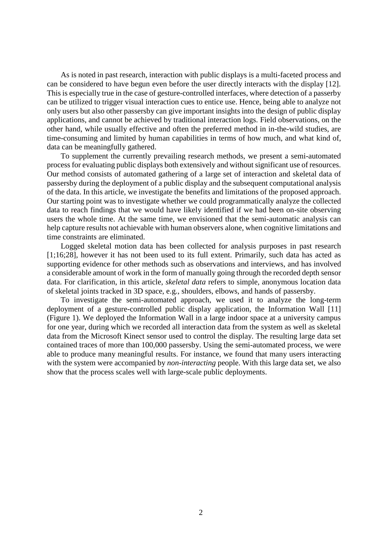As is noted in past research, interaction with public displays is a multi-faceted process and can be considered to have begun even before the user directly interacts with the display [12]. This is especially true in the case of gesture-controlled interfaces, where detection of a passerby can be utilized to trigger visual interaction cues to entice use. Hence, being able to analyze not only users but also other passersby can give important insights into the design of public display applications, and cannot be achieved by traditional interaction logs. Field observations, on the other hand, while usually effective and often the preferred method in in-the-wild studies, are time-consuming and limited by human capabilities in terms of how much, and what kind of, data can be meaningfully gathered.

To supplement the currently prevailing research methods, we present a semi-automated processfor evaluating public displays both extensively and without significant use of resources. Our method consists of automated gathering of a large set of interaction and skeletal data of passersby during the deployment of a public display and the subsequent computational analysis of the data. In this article, we investigate the benefits and limitations of the proposed approach. Our starting point was to investigate whether we could programmatically analyze the collected data to reach findings that we would have likely identified if we had been on-site observing users the whole time. At the same time, we envisioned that the semi-automatic analysis can help capture results not achievable with human observers alone, when cognitive limitations and time constraints are eliminated.

Logged skeletal motion data has been collected for analysis purposes in past research [1;16;28], however it has not been used to its full extent. Primarily, such data has acted as supporting evidence for other methods such as observations and interviews, and has involved a considerable amount of work in the form of manually going through the recorded depth sensor data. For clarification, in this article, *skeletal data* refers to simple, anonymous location data of skeletal joints tracked in 3D space, e.g., shoulders, elbows, and hands of passersby.

To investigate the semi-automated approach, we used it to analyze the long-term deployment of a gesture-controlled public display application, the Information Wall [11] (Figure 1). We deployed the Information Wall in a large indoor space at a university campus for one year, during which we recorded all interaction data from the system as well as skeletal data from the Microsoft Kinect sensor used to control the display. The resulting large data set contained traces of more than 100,000 passersby. Using the semi-automated process, we were able to produce many meaningful results. For instance, we found that many users interacting with the system were accompanied by *non-interacting* people. With this large data set, we also show that the process scales well with large-scale public deployments.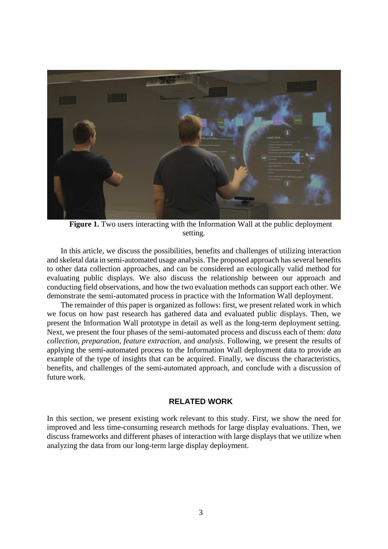

**Figure 1.** Two users interacting with the Information Wall at the public deployment setting.

In this article, we discuss the possibilities, benefits and challenges of utilizing interaction and skeletal data in semi-automated usage analysis. The proposed approach has several benefits to other data collection approaches, and can be considered an ecologically valid method for evaluating public displays. We also discuss the relationship between our approach and conducting field observations, and how the two evaluation methods can support each other. We demonstrate the semi-automated process in practice with the Information Wall deployment.

The remainder of this paper is organized as follows: first, we present related work in which we focus on how past research has gathered data and evaluated public displays. Then, we present the Information Wall prototype in detail as well as the long-term deployment setting. Next, we present the four phases of the semi-automated process and discuss each of them: *data collection*, *preparation*, *feature extraction*, and *analysis*. Following, we present the results of applying the semi-automated process to the Information Wall deployment data to provide an example of the type of insights that can be acquired. Finally, we discuss the characteristics, benefits, and challenges of the semi-automated approach, and conclude with a discussion of future work.

### **RELATED WORK**

In this section, we present existing work relevant to this study. First, we show the need for improved and less time-consuming research methods for large display evaluations. Then, we discuss frameworks and different phases of interaction with large displays that we utilize when analyzing the data from our long-term large display deployment.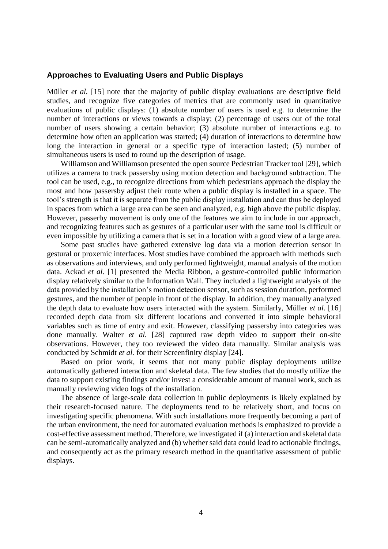### **Approaches to Evaluating Users and Public Displays**

Müller *et al.* [15] note that the majority of public display evaluations are descriptive field studies, and recognize five categories of metrics that are commonly used in quantitative evaluations of public displays: (1) absolute number of users is used e.g. to determine the number of interactions or views towards a display; (2) percentage of users out of the total number of users showing a certain behavior; (3) absolute number of interactions e.g. to determine how often an application was started; (4) duration of interactions to determine how long the interaction in general or a specific type of interaction lasted; (5) number of simultaneous users is used to round up the description of usage.

Williamson and Williamson presented the open source Pedestrian Tracker tool [29], which utilizes a camera to track passersby using motion detection and background subtraction. The tool can be used, e.g., to recognize directions from which pedestrians approach the display the most and how passersby adjust their route when a public display is installed in a space. The tool's strength is that it is separate from the public display installation and can thus be deployed in spaces from which a large area can be seen and analyzed, e.g. high above the public display. However, passerby movement is only one of the features we aim to include in our approach, and recognizing features such as gestures of a particular user with the same tool is difficult or even impossible by utilizing a camera that is set in a location with a good view of a large area.

Some past studies have gathered extensive log data via a motion detection sensor in gestural or proxemic interfaces. Most studies have combined the approach with methods such as observations and interviews, and only performed lightweight, manual analysis of the motion data. Ackad *et al.* [1] presented the Media Ribbon, a gesture-controlled public information display relatively similar to the Information Wall. They included a lightweight analysis of the data provided by the installation's motion detection sensor, such as session duration, performed gestures, and the number of people in front of the display. In addition, they manually analyzed the depth data to evaluate how users interacted with the system. Similarly, Müller *et al.* [16] recorded depth data from six different locations and converted it into simple behavioral variables such as time of entry and exit. However, classifying passersby into categories was done manually. Walter *et al.* [28] captured raw depth video to support their on-site observations. However, they too reviewed the video data manually. Similar analysis was conducted by Schmidt *et al.* for their Screenfinity display [24].

Based on prior work, it seems that not many public display deployments utilize automatically gathered interaction and skeletal data. The few studies that do mostly utilize the data to support existing findings and/or invest a considerable amount of manual work, such as manually reviewing video logs of the installation.

The absence of large-scale data collection in public deployments is likely explained by their research-focused nature. The deployments tend to be relatively short, and focus on investigating specific phenomena. With such installations more frequently becoming a part of the urban environment, the need for automated evaluation methods is emphasized to provide a cost-effective assessment method. Therefore, we investigated if (a) interaction and skeletal data can be semi-automatically analyzed and (b) whether said data could lead to actionable findings, and consequently act as the primary research method in the quantitative assessment of public displays.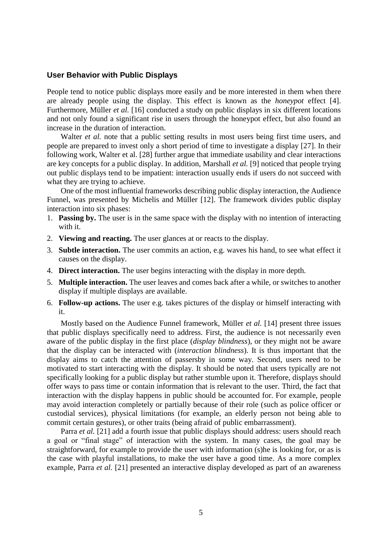### **User Behavior with Public Displays**

People tend to notice public displays more easily and be more interested in them when there are already people using the display. This effect is known as the *honeypot* effect [4]. Furthermore, Müller *et al.* [16] conducted a study on public displays in six different locations and not only found a significant rise in users through the honeypot effect, but also found an increase in the duration of interaction.

Walter *et al.* note that a public setting results in most users being first time users, and people are prepared to invest only a short period of time to investigate a display [27]. In their following work, Walter et al. [28] further argue that immediate usability and clear interactions are key concepts for a public display. In addition, Marshall *et al.* [9] noticed that people trying out public displays tend to be impatient: interaction usually ends if users do not succeed with what they are trying to achieve.

One of the most influential frameworks describing public display interaction, the Audience Funnel, was presented by Michelis and Müller [12]. The framework divides public display interaction into six phases:

- 1. **Passing by.** The user is in the same space with the display with no intention of interacting with it.
- 2. **Viewing and reacting.** The user glances at or reacts to the display.
- 3. **Subtle interaction.** The user commits an action, e.g. waves his hand, to see what effect it causes on the display.
- 4. **Direct interaction.** The user begins interacting with the display in more depth.
- 5. **Multiple interaction.** The user leaves and comes back after a while, or switches to another display if multiple displays are available.
- 6. **Follow-up actions.** The user e.g. takes pictures of the display or himself interacting with it.

Mostly based on the Audience Funnel framework, Müller *et al.* [14] present three issues that public displays specifically need to address. First, the audience is not necessarily even aware of the public display in the first place (*display blindness*), or they might not be aware that the display can be interacted with (*interaction blindness*). It is thus important that the display aims to catch the attention of passersby in some way. Second, users need to be motivated to start interacting with the display. It should be noted that users typically are not specifically looking for a public display but rather stumble upon it. Therefore, displays should offer ways to pass time or contain information that is relevant to the user. Third, the fact that interaction with the display happens in public should be accounted for. For example, people may avoid interaction completely or partially because of their role (such as police officer or custodial services), physical limitations (for example, an elderly person not being able to commit certain gestures), or other traits (being afraid of public embarrassment).

Parra *et al.* [21] add a fourth issue that public displays should address: users should reach a goal or "final stage" of interaction with the system. In many cases, the goal may be straightforward, for example to provide the user with information (s)he is looking for, or as is the case with playful installations, to make the user have a good time. As a more complex example, Parra *et al.* [21] presented an interactive display developed as part of an awareness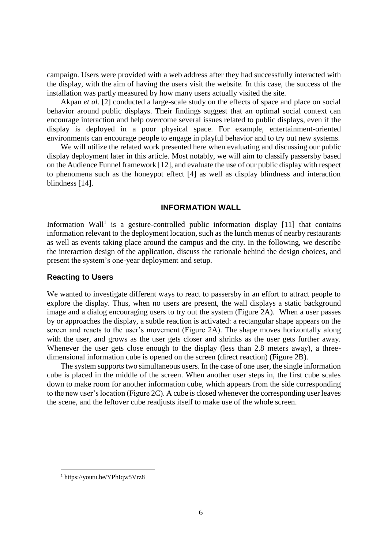campaign. Users were provided with a web address after they had successfully interacted with the display, with the aim of having the users visit the website. In this case, the success of the installation was partly measured by how many users actually visited the site.

Akpan *et al.* [2] conducted a large-scale study on the effects of space and place on social behavior around public displays. Their findings suggest that an optimal social context can encourage interaction and help overcome several issues related to public displays, even if the display is deployed in a poor physical space. For example, entertainment-oriented environments can encourage people to engage in playful behavior and to try out new systems.

We will utilize the related work presented here when evaluating and discussing our public display deployment later in this article. Most notably, we will aim to classify passersby based on the Audience Funnel framework [12], and evaluate the use of our public display with respect to phenomena such as the honeypot effect [4] as well as display blindness and interaction blindness [14].

#### **INFORMATION WALL**

Information Wall<sup>1</sup> is a gesture-controlled public information display  $[11]$  that contains information relevant to the deployment location, such as the lunch menus of nearby restaurants as well as events taking place around the campus and the city. In the following, we describe the interaction design of the application, discuss the rationale behind the design choices, and present the system's one-year deployment and setup.

### **Reacting to Users**

We wanted to investigate different ways to react to passersby in an effort to attract people to explore the display. Thus, when no users are present, the wall displays a static background image and a dialog encouraging users to try out the system (Figure 2A). When a user passes by or approaches the display, a subtle reaction is activated: a rectangular shape appears on the screen and reacts to the user's movement (Figure 2A). The shape moves horizontally along with the user, and grows as the user gets closer and shrinks as the user gets further away. Whenever the user gets close enough to the display (less than 2.8 meters away), a threedimensional information cube is opened on the screen (direct reaction) (Figure 2B).

The system supports two simultaneous users. In the case of one user, the single information cube is placed in the middle of the screen. When another user steps in, the first cube scales down to make room for another information cube, which appears from the side corresponding to the new user's location (Figure 2C). A cube is closed whenever the corresponding user leaves the scene, and the leftover cube readjusts itself to make use of the whole screen.

 $\overline{a}$ 

<sup>1</sup> https://youtu.be/YPhIqw5Vrz8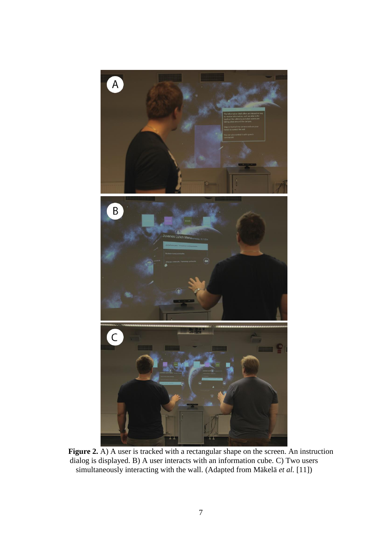

**Figure 2.** A) A user is tracked with a rectangular shape on the screen. An instruction dialog is displayed. B) A user interacts with an information cube. C) Two users simultaneously interacting with the wall. (Adapted from Mäkelä *et al.* [11])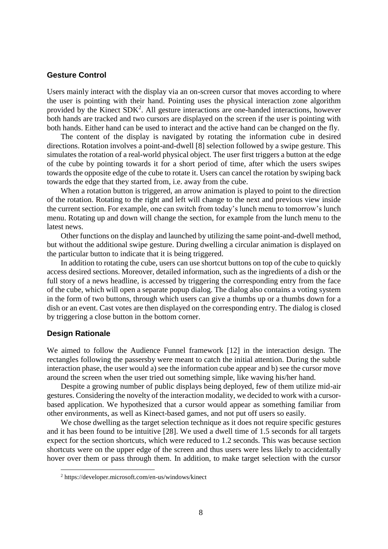#### **Gesture Control**

Users mainly interact with the display via an on-screen cursor that moves according to where the user is pointing with their hand. Pointing uses the physical interaction zone algorithm provided by the Kinect SDK<sup>2</sup>. All gesture interactions are one-handed interactions, however both hands are tracked and two cursors are displayed on the screen if the user is pointing with both hands. Either hand can be used to interact and the active hand can be changed on the fly.

The content of the display is navigated by rotating the information cube in desired directions. Rotation involves a point-and-dwell [8] selection followed by a swipe gesture. This simulates the rotation of a real-world physical object. The user first triggers a button at the edge of the cube by pointing towards it for a short period of time, after which the users swipes towards the opposite edge of the cube to rotate it. Users can cancel the rotation by swiping back towards the edge that they started from, i.e. away from the cube.

When a rotation button is triggered, an arrow animation is played to point to the direction of the rotation. Rotating to the right and left will change to the next and previous view inside the current section. For example, one can switch from today's lunch menu to tomorrow's lunch menu. Rotating up and down will change the section, for example from the lunch menu to the latest news.

Other functions on the display and launched by utilizing the same point-and-dwell method, but without the additional swipe gesture. During dwelling a circular animation is displayed on the particular button to indicate that it is being triggered.

In addition to rotating the cube, users can use shortcut buttons on top of the cube to quickly access desired sections. Moreover, detailed information, such as the ingredients of a dish or the full story of a news headline, is accessed by triggering the corresponding entry from the face of the cube, which will open a separate popup dialog. The dialog also contains a voting system in the form of two buttons, through which users can give a thumbs up or a thumbs down for a dish or an event. Cast votes are then displayed on the corresponding entry. The dialog is closed by triggering a close button in the bottom corner.

### **Design Rationale**

 $\overline{a}$ 

We aimed to follow the Audience Funnel framework [12] in the interaction design. The rectangles following the passersby were meant to catch the initial attention. During the subtle interaction phase, the user would a) see the information cube appear and b) see the cursor move around the screen when the user tried out something simple, like waving his/her hand.

Despite a growing number of public displays being deployed, few of them utilize mid-air gestures. Considering the novelty of the interaction modality, we decided to work with a cursorbased application. We hypothesized that a cursor would appear as something familiar from other environments, as well as Kinect-based games, and not put off users so easily.

We chose dwelling as the target selection technique as it does not require specific gestures and it has been found to be intuitive [28]. We used a dwell time of 1.5 seconds for all targets expect for the section shortcuts, which were reduced to 1.2 seconds. This was because section shortcuts were on the upper edge of the screen and thus users were less likely to accidentally hover over them or pass through them. In addition, to make target selection with the cursor

<sup>2</sup> https://developer.microsoft.com/en-us/windows/kinect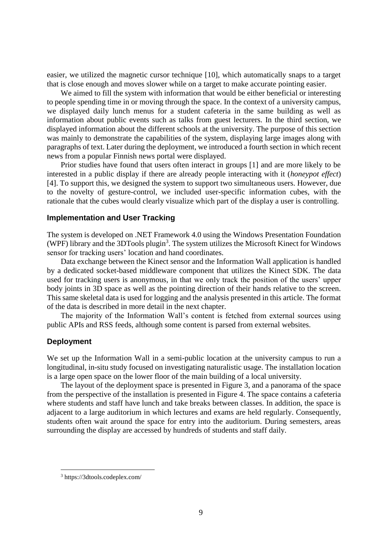easier, we utilized the magnetic cursor technique [10], which automatically snaps to a target that is close enough and moves slower while on a target to make accurate pointing easier.

We aimed to fill the system with information that would be either beneficial or interesting to people spending time in or moving through the space. In the context of a university campus, we displayed daily lunch menus for a student cafeteria in the same building as well as information about public events such as talks from guest lecturers. In the third section, we displayed information about the different schools at the university. The purpose of this section was mainly to demonstrate the capabilities of the system, displaying large images along with paragraphs of text. Later during the deployment, we introduced a fourth section in which recent news from a popular Finnish news portal were displayed.

Prior studies have found that users often interact in groups [1] and are more likely to be interested in a public display if there are already people interacting with it (*honeypot effect*) [4]. To support this, we designed the system to support two simultaneous users. However, due to the novelty of gesture-control, we included user-specific information cubes, with the rationale that the cubes would clearly visualize which part of the display a user is controlling.

### **Implementation and User Tracking**

The system is developed on .NET Framework 4.0 using the Windows Presentation Foundation (WPF) library and the 3DTools plugin<sup>3</sup>. The system utilizes the Microsoft Kinect for Windows sensor for tracking users' location and hand coordinates.

Data exchange between the Kinect sensor and the Information Wall application is handled by a dedicated socket-based middleware component that utilizes the Kinect SDK. The data used for tracking users is anonymous, in that we only track the position of the users' upper body joints in 3D space as well as the pointing direction of their hands relative to the screen. This same skeletal data is used for logging and the analysis presented in this article. The format of the data is described in more detail in the next chapter.

The majority of the Information Wall's content is fetched from external sources using public APIs and RSS feeds, although some content is parsed from external websites.

#### **Deployment**

 $\overline{a}$ 

We set up the Information Wall in a semi-public location at the university campus to run a longitudinal, in-situ study focused on investigating naturalistic usage. The installation location is a large open space on the lower floor of the main building of a local university.

The layout of the deployment space is presented in Figure 3, and a panorama of the space from the perspective of the installation is presented in Figure 4. The space contains a cafeteria where students and staff have lunch and take breaks between classes. In addition, the space is adjacent to a large auditorium in which lectures and exams are held regularly. Consequently, students often wait around the space for entry into the auditorium. During semesters, areas surrounding the display are accessed by hundreds of students and staff daily.

<sup>3</sup> https://3dtools.codeplex.com/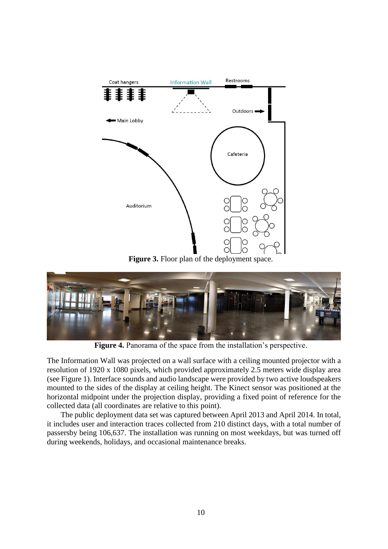

**Figure 3.** Floor plan of the deployment space.



**Figure 4.** Panorama of the space from the installation's perspective.

The Information Wall was projected on a wall surface with a ceiling mounted projector with a resolution of 1920 x 1080 pixels, which provided approximately 2.5 meters wide display area (see Figure 1). Interface sounds and audio landscape were provided by two active loudspeakers mounted to the sides of the display at ceiling height. The Kinect sensor was positioned at the horizontal midpoint under the projection display, providing a fixed point of reference for the collected data (all coordinates are relative to this point).

The public deployment data set was captured between April 2013 and April 2014. In total, it includes user and interaction traces collected from 210 distinct days, with a total number of passersby being 106,637. The installation was running on most weekdays, but was turned off during weekends, holidays, and occasional maintenance breaks.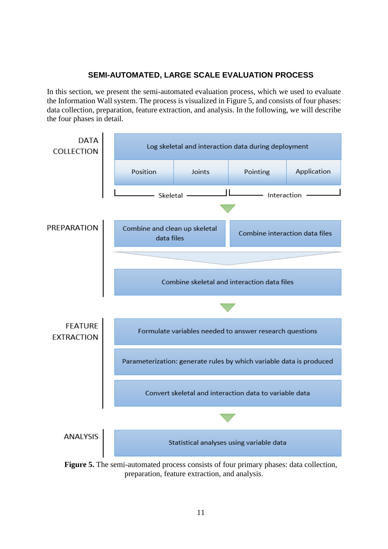## **SEMI-AUTOMATED, LARGE SCALE EVALUATION PROCESS**

In this section, we present the semi-automated evaluation process, which we used to evaluate the Information Wall system. The process is visualized in Figure 5, and consists of four phases: data collection, preparation, feature extraction, and analysis. In the following, we will describe the four phases in detail.



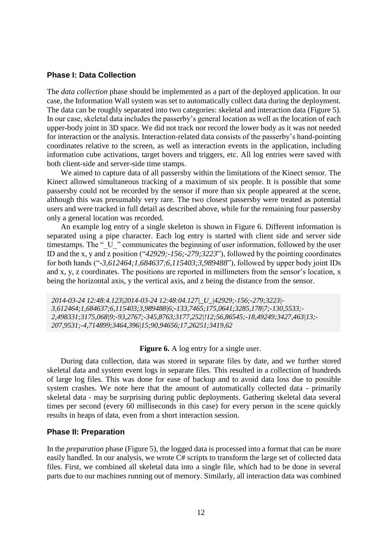### **Phase I: Data Collection**

The *data collection* phase should be implemented as a part of the deployed application. In our case, the Information Wall system was set to automatically collect data during the deployment. The data can be roughly separated into two categories: skeletal and interaction data (Figure 5). In our case, skeletal data includes the passerby's general location as well as the location of each upper-body joint in 3D space. We did not track nor record the lower body as it was not needed for interaction or the analysis. Interaction-related data consists of the passerby's hand-pointing coordinates relative to the screen, as well as interaction events in the application, including information cube activations, target hovers and triggers, etc. All log entries were saved with both client-side and server-side time stamps.

We aimed to capture data of all passersby within the limitations of the Kinect sensor. The Kinect allowed simultaneous tracking of a maximum of six people. It is possible that some passersby could not be recorded by the sensor if more than six people appeared at the scene, although this was presumably very rare. The two closest passersby were treated as potential users and were tracked in full detail as described above, while for the remaining four passersby only a general location was recorded.

An example log entry of a single skeleton is shown in Figure 6. Different information is separated using a pipe character. Each log entry is started with client side and server side timestamps. The " U " communicates the beginning of user information, followed by the user ID and the x, y and z position ("*42929;-156;-279;3223*"), followed by the pointing coordinates for both hands ("*-3,612464;1,684637;6,115403;3,989488*"), followed by upper body joint IDs and x, y, z coordinates. The positions are reported in millimeters from the sensor's location, x being the horizontal axis, y the vertical axis, and z being the distance from the sensor.

*2014-03-24 12:48:4.123|2014-03-24 12:48:04.127|\_U\_|42929;-156;-279;3223|- 3,612464;1,684637;6,115403;3,989488|6;-133,7465;175,0641;3285,178|7;-130,5533;- 2,498331;3175,068|9;-93,2767;-345,8763;3177,252|!12;56,86545;-18,49249;3427,463|13;- 207,9531;-4,714899;3464,396|15;90,94656;17,26251;3419,62*

#### **Figure 6.** A log entry for a single user.

During data collection, data was stored in separate files by date, and we further stored skeletal data and system event logs in separate files. This resulted in a collection of hundreds of large log files. This was done for ease of backup and to avoid data loss due to possible system crashes. We note here that the amount of automatically collected data - primarily skeletal data - may be surprising during public deployments. Gathering skeletal data several times per second (every 60 milliseconds in this case) for every person in the scene quickly results in heaps of data, even from a short interaction session.

#### **Phase II: Preparation**

In the *preparation* phase (Figure 5), the logged data is processed into a format that can be more easily handled. In our analysis, we wrote C# scripts to transform the large set of collected data files. First, we combined all skeletal data into a single file, which had to be done in several parts due to our machines running out of memory. Similarly, all interaction data was combined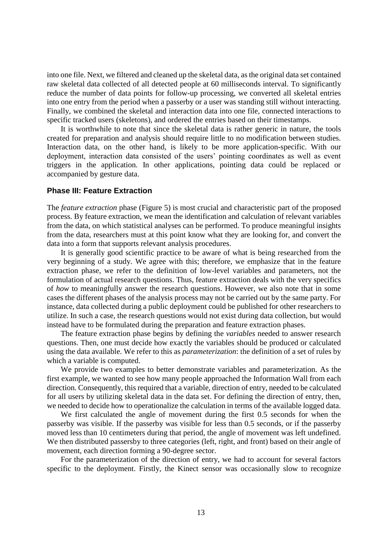into one file. Next, we filtered and cleaned up the skeletal data, as the original data set contained raw skeletal data collected of all detected people at 60 milliseconds interval. To significantly reduce the number of data points for follow-up processing, we converted all skeletal entries into one entry from the period when a passerby or a user was standing still without interacting. Finally, we combined the skeletal and interaction data into one file, connected interactions to specific tracked users (skeletons), and ordered the entries based on their timestamps.

It is worthwhile to note that since the skeletal data is rather generic in nature, the tools created for preparation and analysis should require little to no modification between studies. Interaction data, on the other hand, is likely to be more application-specific. With our deployment, interaction data consisted of the users' pointing coordinates as well as event triggers in the application. In other applications, pointing data could be replaced or accompanied by gesture data.

### **Phase III: Feature Extraction**

The *feature extraction* phase (Figure 5) is most crucial and characteristic part of the proposed process. By feature extraction, we mean the identification and calculation of relevant variables from the data, on which statistical analyses can be performed. To produce meaningful insights from the data, researchers must at this point know what they are looking for, and convert the data into a form that supports relevant analysis procedures.

It is generally good scientific practice to be aware of what is being researched from the very beginning of a study. We agree with this; therefore, we emphasize that in the feature extraction phase, we refer to the definition of low-level variables and parameters, not the formulation of actual research questions. Thus, feature extraction deals with the very specifics of *how* to meaningfully answer the research questions. However, we also note that in some cases the different phases of the analysis process may not be carried out by the same party. For instance, data collected during a public deployment could be published for other researchers to utilize. In such a case, the research questions would not exist during data collection, but would instead have to be formulated during the preparation and feature extraction phases.

The feature extraction phase begins by defining the *variables* needed to answer research questions. Then, one must decide how exactly the variables should be produced or calculated using the data available. We refer to this as *parameterization*: the definition of a set of rules by which a variable is computed.

We provide two examples to better demonstrate variables and parameterization. As the first example, we wanted to see how many people approached the Information Wall from each direction. Consequently, this required that a variable, direction of entry, needed to be calculated for all users by utilizing skeletal data in the data set. For defining the direction of entry, then, we needed to decide how to operationalize the calculation in terms of the available logged data.

We first calculated the angle of movement during the first 0.5 seconds for when the passerby was visible. If the passerby was visible for less than 0.5 seconds, or if the passerby moved less than 10 centimeters during that period, the angle of movement was left undefined. We then distributed passersby to three categories (left, right, and front) based on their angle of movement, each direction forming a 90-degree sector.

For the parameterization of the direction of entry, we had to account for several factors specific to the deployment. Firstly, the Kinect sensor was occasionally slow to recognize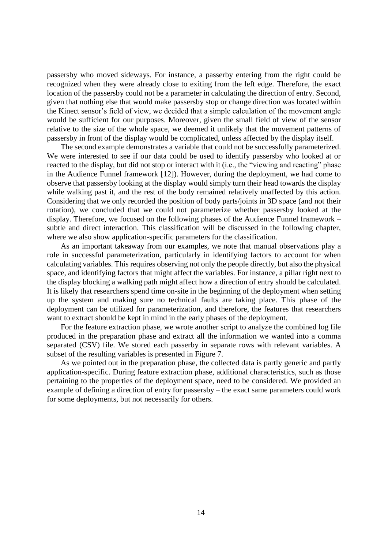passersby who moved sideways. For instance, a passerby entering from the right could be recognized when they were already close to exiting from the left edge. Therefore, the exact location of the passersby could not be a parameter in calculating the direction of entry. Second, given that nothing else that would make passersby stop or change direction was located within the Kinect sensor's field of view, we decided that a simple calculation of the movement angle would be sufficient for our purposes. Moreover, given the small field of view of the sensor relative to the size of the whole space, we deemed it unlikely that the movement patterns of passersby in front of the display would be complicated, unless affected by the display itself.

The second example demonstrates a variable that could not be successfully parameterized. We were interested to see if our data could be used to identify passersby who looked at or reacted to the display, but did not stop or interact with it (i.e., the "viewing and reacting" phase in the Audience Funnel framework [12]). However, during the deployment, we had come to observe that passersby looking at the display would simply turn their head towards the display while walking past it, and the rest of the body remained relatively unaffected by this action. Considering that we only recorded the position of body parts/joints in 3D space (and not their rotation), we concluded that we could not parameterize whether passersby looked at the display. Therefore, we focused on the following phases of the Audience Funnel framework – subtle and direct interaction. This classification will be discussed in the following chapter, where we also show application-specific parameters for the classification.

As an important takeaway from our examples, we note that manual observations play a role in successful parameterization, particularly in identifying factors to account for when calculating variables. This requires observing not only the people directly, but also the physical space, and identifying factors that might affect the variables. For instance, a pillar right next to the display blocking a walking path might affect how a direction of entry should be calculated. It is likely that researchers spend time on-site in the beginning of the deployment when setting up the system and making sure no technical faults are taking place. This phase of the deployment can be utilized for parameterization, and therefore, the features that researchers want to extract should be kept in mind in the early phases of the deployment.

For the feature extraction phase, we wrote another script to analyze the combined log file produced in the preparation phase and extract all the information we wanted into a comma separated (CSV) file. We stored each passerby in separate rows with relevant variables. A subset of the resulting variables is presented in Figure 7.

As we pointed out in the preparation phase, the collected data is partly generic and partly application-specific. During feature extraction phase, additional characteristics, such as those pertaining to the properties of the deployment space, need to be considered. We provided an example of defining a direction of entry for passersby – the exact same parameters could work for some deployments, but not necessarily for others.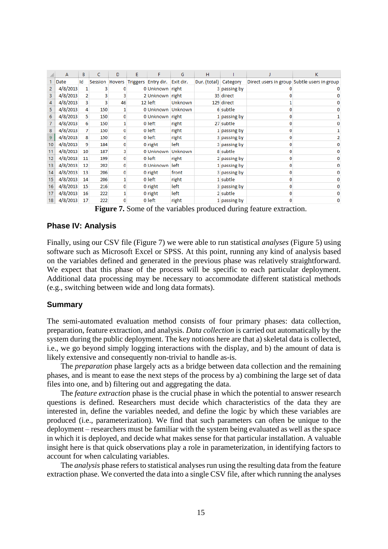|    | A        | B  | C.             | D  | E | F                   | G         | н                     |              |   | К                                           |
|----|----------|----|----------------|----|---|---------------------|-----------|-----------------------|--------------|---|---------------------------------------------|
|    | Date     | Id | Session Hovers |    |   | Triggers Entry dir. | Exit dir. | Dur. (total) Category |              |   | Direct users in group Subtle users in group |
|    | 4/8/2013 |    | з              |    |   | 0 Unknown right     |           |                       | 3 passing by |   |                                             |
| з. | 4/8/2013 | 2  | 3              |    |   | 2 Unknown right     |           |                       | 35 direct    |   |                                             |
| 4  | 4/8/2013 | 3  | 3              | 46 |   | 12 left             | Unknown   |                       | 129 direct   |   |                                             |
| 5. | 4/8/2013 | 4  | 150            |    |   | 0 Unknown           | Unknown   |                       | 6 subtle     |   |                                             |
| 6  | 4/8/2013 | 5  | 150            | 0  |   | 0 Unknown right     |           |                       | 1 passing by | 0 |                                             |
|    | 4/8/2013 | 6  | 150            |    |   | 0 left              | right     |                       | 27 subtle    | 0 |                                             |
| 8  | 4/8/2013 |    | 150            | 0  |   | 0 left              | right     |                       | 1 passing by |   |                                             |
| 9. | 4/8/2013 | 8  | 150            | 0  |   | 0 left              | right     |                       | 3 passing by |   |                                             |
| 10 | 4/8/2013 | 9  | 184            |    |   | 0 right             | left      |                       | 3 passing by |   |                                             |
| 11 | 4/8/2013 | 10 | 187            |    |   | 0 Unknown           | Unknown   |                       | 8 subtle     |   |                                             |
| 12 | 4/8/2013 | 11 | 199            | o  |   | 0 left              | right     |                       | 2 passing by |   |                                             |
| 13 | 4/8/2013 | 12 | 202            |    |   | 0 Unknown           | left      |                       | 1 passing by |   |                                             |
| 14 | 4/8/2013 | 13 | 206            |    |   | 0 right             | front     |                       | 3 passing by |   |                                             |
| 15 | 4/8/2013 | 14 | 206            |    |   | 0 left              | right     |                       | 1 subtle     |   |                                             |
| 16 | 4/8/2013 | 15 | 216            | o  |   | 0 right             | left      |                       | 3 passing by |   |                                             |
| 17 | 4/8/2013 | 16 | 222            |    |   | 0 right             | left      |                       | 2 subtle     | 0 |                                             |
| 18 | 4/8/2013 | 17 | 222            | 0  |   | 0 left              | right     |                       | 1 passing by | 0 |                                             |

**Figure 7.** Some of the variables produced during feature extraction.

### **Phase IV: Analysis**

Finally, using our CSV file (Figure 7) we were able to run statistical *analyses* (Figure 5) using software such as Microsoft Excel or SPSS. At this point, running any kind of analysis based on the variables defined and generated in the previous phase was relatively straightforward. We expect that this phase of the process will be specific to each particular deployment. Additional data processing may be necessary to accommodate different statistical methods (e.g., switching between wide and long data formats).

### **Summary**

The semi-automated evaluation method consists of four primary phases: data collection, preparation, feature extraction, and analysis. *Data collection* is carried out automatically by the system during the public deployment. The key notions here are that a) skeletal data is collected, i.e., we go beyond simply logging interactions with the display, and b) the amount of data is likely extensive and consequently non-trivial to handle as-is.

The *preparation* phase largely acts as a bridge between data collection and the remaining phases, and is meant to ease the next steps of the process by a) combining the large set of data files into one, and b) filtering out and aggregating the data.

The *feature extraction* phase is the crucial phase in which the potential to answer research questions is defined. Researchers must decide which characteristics of the data they are interested in, define the variables needed, and define the logic by which these variables are produced (i.e., parameterization). We find that such parameters can often be unique to the deployment – researchers must be familiar with the system being evaluated as well as the space in which it is deployed, and decide what makes sense for that particular installation. A valuable insight here is that quick observations play a role in parameterization, in identifying factors to account for when calculating variables.

The *analysis* phase refers to statistical analyses run using the resulting data from the feature extraction phase. We converted the data into a single CSV file, after which running the analyses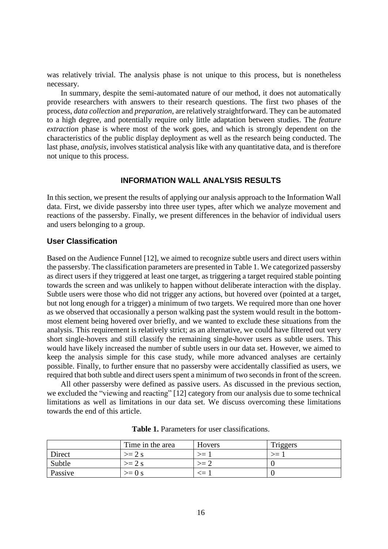was relatively trivial. The analysis phase is not unique to this process, but is nonetheless necessary.

In summary, despite the semi-automated nature of our method, it does not automatically provide researchers with answers to their research questions. The first two phases of the process, *data collection* and *preparation*, are relatively straightforward. They can be automated to a high degree, and potentially require only little adaptation between studies. The *feature extraction* phase is where most of the work goes, and which is strongly dependent on the characteristics of the public display deployment as well as the research being conducted. The last phase, *analysis*, involves statistical analysis like with any quantitative data, and is therefore not unique to this process.

### **INFORMATION WALL ANALYSIS RESULTS**

In this section, we present the results of applying our analysis approach to the Information Wall data. First, we divide passersby into three user types, after which we analyze movement and reactions of the passersby. Finally, we present differences in the behavior of individual users and users belonging to a group.

#### **User Classification**

Based on the Audience Funnel [12], we aimed to recognize subtle users and direct users within the passersby. The classification parameters are presented in Table 1. We categorized passersby as direct users if they triggered at least one target, as triggering a target required stable pointing towards the screen and was unlikely to happen without deliberate interaction with the display. Subtle users were those who did not trigger any actions, but hovered over (pointed at a target, but not long enough for a trigger) a minimum of two targets. We required more than one hover as we observed that occasionally a person walking past the system would result in the bottommost element being hovered over briefly, and we wanted to exclude these situations from the analysis. This requirement is relatively strict; as an alternative, we could have filtered out very short single-hovers and still classify the remaining single-hover users as subtle users. This would have likely increased the number of subtle users in our data set. However, we aimed to keep the analysis simple for this case study, while more advanced analyses are certainly possible. Finally, to further ensure that no passersby were accidentally classified as users, we required that both subtle and direct users spent a minimum of two seconds in front of the screen.

All other passersby were defined as passive users. As discussed in the previous section, we excluded the "viewing and reacting" [12] category from our analysis due to some technical limitations as well as limitations in our data set. We discuss overcoming these limitations towards the end of this article.

|         | Time in the area | Hovers | Triggers |
|---------|------------------|--------|----------|
| Direct  | $>= 2$ s         | >= 1   | $>=$     |
| Subtle  | $>= 2$ s         | ∵>= ∠  |          |
| Passive | $\geq 0$ s       | ⊂⊃     |          |

**Table 1.** Parameters for user classifications.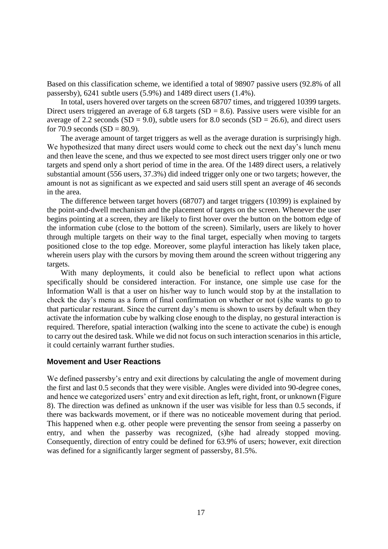Based on this classification scheme, we identified a total of 98907 passive users (92.8% of all passersby), 6241 subtle users (5.9%) and 1489 direct users (1.4%).

In total, users hovered over targets on the screen 68707 times, and triggered 10399 targets. Direct users triggered an average of 6.8 targets  $(SD = 8.6)$ . Passive users were visible for an average of 2.2 seconds (SD = 9.0), subtle users for 8.0 seconds (SD = 26.6), and direct users for 70.9 seconds  $(SD = 80.9)$ .

The average amount of target triggers as well as the average duration is surprisingly high. We hypothesized that many direct users would come to check out the next day's lunch menu and then leave the scene, and thus we expected to see most direct users trigger only one or two targets and spend only a short period of time in the area. Of the 1489 direct users, a relatively substantial amount (556 users, 37.3%) did indeed trigger only one or two targets; however, the amount is not as significant as we expected and said users still spent an average of 46 seconds in the area.

The difference between target hovers (68707) and target triggers (10399) is explained by the point-and-dwell mechanism and the placement of targets on the screen. Whenever the user begins pointing at a screen, they are likely to first hover over the button on the bottom edge of the information cube (close to the bottom of the screen). Similarly, users are likely to hover through multiple targets on their way to the final target, especially when moving to targets positioned close to the top edge. Moreover, some playful interaction has likely taken place, wherein users play with the cursors by moving them around the screen without triggering any targets.

With many deployments, it could also be beneficial to reflect upon what actions specifically should be considered interaction. For instance, one simple use case for the Information Wall is that a user on his/her way to lunch would stop by at the installation to check the day's menu as a form of final confirmation on whether or not (s)he wants to go to that particular restaurant. Since the current day's menu is shown to users by default when they activate the information cube by walking close enough to the display, no gestural interaction is required. Therefore, spatial interaction (walking into the scene to activate the cube) is enough to carry out the desired task. While we did not focus on such interaction scenarios in this article, it could certainly warrant further studies.

#### **Movement and User Reactions**

We defined passersby's entry and exit directions by calculating the angle of movement during the first and last 0.5 seconds that they were visible. Angles were divided into 90-degree cones, and hence we categorized users' entry and exit direction as left, right, front, or unknown (Figure 8). The direction was defined as unknown if the user was visible for less than 0.5 seconds, if there was backwards movement, or if there was no noticeable movement during that period. This happened when e.g. other people were preventing the sensor from seeing a passerby on entry, and when the passerby was recognized, (s)he had already stopped moving. Consequently, direction of entry could be defined for 63.9% of users; however, exit direction was defined for a significantly larger segment of passersby, 81.5%.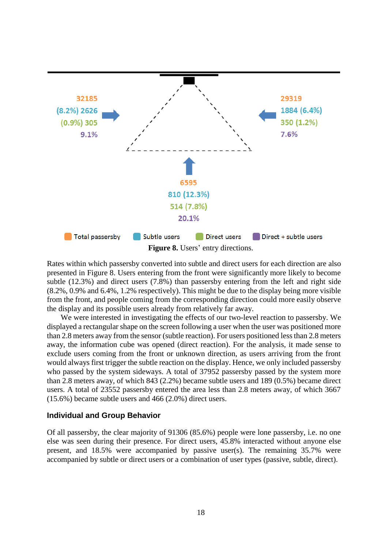

Rates within which passersby converted into subtle and direct users for each direction are also presented in Figure 8. Users entering from the front were significantly more likely to become subtle (12.3%) and direct users (7.8%) than passersby entering from the left and right side (8.2%, 0.9% and 6.4%, 1.2% respectively). This might be due to the display being more visible from the front, and people coming from the corresponding direction could more easily observe the display and its possible users already from relatively far away.

We were interested in investigating the effects of our two-level reaction to passersby. We displayed a rectangular shape on the screen following a user when the user was positioned more than 2.8 meters away from the sensor (subtle reaction). For users positioned less than 2.8 meters away, the information cube was opened (direct reaction). For the analysis, it made sense to exclude users coming from the front or unknown direction, as users arriving from the front would always first trigger the subtle reaction on the display. Hence, we only included passersby who passed by the system sideways. A total of 37952 passersby passed by the system more than 2.8 meters away, of which 843 (2.2%) became subtle users and 189 (0.5%) became direct users. A total of 23552 passersby entered the area less than 2.8 meters away, of which 3667 (15.6%) became subtle users and 466 (2.0%) direct users.

#### **Individual and Group Behavior**

Of all passersby, the clear majority of 91306 (85.6%) people were lone passersby, i.e. no one else was seen during their presence. For direct users, 45.8% interacted without anyone else present, and 18.5% were accompanied by passive user(s). The remaining 35.7% were accompanied by subtle or direct users or a combination of user types (passive, subtle, direct).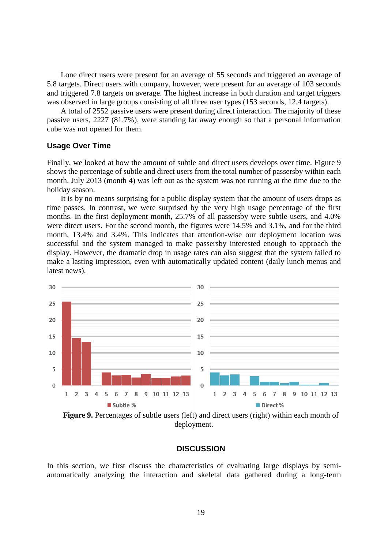Lone direct users were present for an average of 55 seconds and triggered an average of 5.8 targets. Direct users with company, however, were present for an average of 103 seconds and triggered 7.8 targets on average. The highest increase in both duration and target triggers was observed in large groups consisting of all three user types (153 seconds, 12.4 targets).

A total of 2552 passive users were present during direct interaction. The majority of these passive users, 2227 (81.7%), were standing far away enough so that a personal information cube was not opened for them.

#### **Usage Over Time**

Finally, we looked at how the amount of subtle and direct users develops over time. Figure 9 shows the percentage of subtle and direct users from the total number of passersby within each month. July 2013 (month 4) was left out as the system was not running at the time due to the holiday season.

It is by no means surprising for a public display system that the amount of users drops as time passes. In contrast, we were surprised by the very high usage percentage of the first months. In the first deployment month, 25.7% of all passersby were subtle users, and 4.0% were direct users. For the second month, the figures were 14.5% and 3.1%, and for the third month, 13.4% and 3.4%. This indicates that attention-wise our deployment location was successful and the system managed to make passersby interested enough to approach the display. However, the dramatic drop in usage rates can also suggest that the system failed to make a lasting impression, even with automatically updated content (daily lunch menus and latest news).



Figure 9. Percentages of subtle users (left) and direct users (right) within each month of deployment.

#### **DISCUSSION**

In this section, we first discuss the characteristics of evaluating large displays by semiautomatically analyzing the interaction and skeletal data gathered during a long-term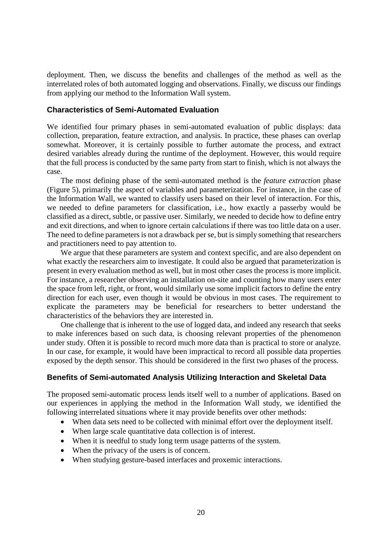deployment. Then, we discuss the benefits and challenges of the method as well as the interrelated roles of both automated logging and observations. Finally, we discuss our findings from applying our method to the Information Wall system.

### **Characteristics of Semi-Automated Evaluation**

We identified four primary phases in semi-automated evaluation of public displays: data collection, preparation, feature extraction, and analysis. In practice, these phases can overlap somewhat. Moreover, it is certainly possible to further automate the process, and extract desired variables already during the runtime of the deployment. However, this would require that the full process is conducted by the same party from start to finish, which is not always the case.

The most defining phase of the semi-automated method is the *feature extraction* phase (Figure 5), primarily the aspect of variables and parameterization. For instance, in the case of the Information Wall, we wanted to classify users based on their level of interaction. For this, we needed to define parameters for classification, i.e., how exactly a passerby would be classified as a direct, subtle, or passive user. Similarly, we needed to decide how to define entry and exit directions, and when to ignore certain calculations if there was too little data on a user. The need to define parameters is not a drawback per se, but is simply something that researchers and practitioners need to pay attention to.

We argue that these parameters are system and context specific, and are also dependent on what exactly the researchers aim to investigate. It could also be argued that parameterization is present in every evaluation method as well, but in most other cases the process is more implicit. For instance, a researcher observing an installation on-site and counting how many users enter the space from left, right, or front, would similarly use some implicit factors to define the entry direction for each user, even though it would be obvious in most cases. The requirement to explicate the parameters may be beneficial for researchers to better understand the characteristics of the behaviors they are interested in.

One challenge that is inherent to the use of logged data, and indeed any research that seeks to make inferences based on such data, is choosing relevant properties of the phenomenon under study. Often it is possible to record much more data than is practical to store or analyze. In our case, for example, it would have been impractical to record all possible data properties exposed by the depth sensor. This should be considered in the first two phases of the process.

### **Benefits of Semi-automated Analysis Utilizing Interaction and Skeletal Data**

The proposed semi-automatic process lends itself well to a number of applications. Based on our experiences in applying the method in the Information Wall study, we identified the following interrelated situations where it may provide benefits over other methods:

- When data sets need to be collected with minimal effort over the deployment itself.
- When large scale quantitative data collection is of interest.
- When it is needful to study long term usage patterns of the system.
- When the privacy of the users is of concern.
- When studying gesture-based interfaces and proxemic interactions.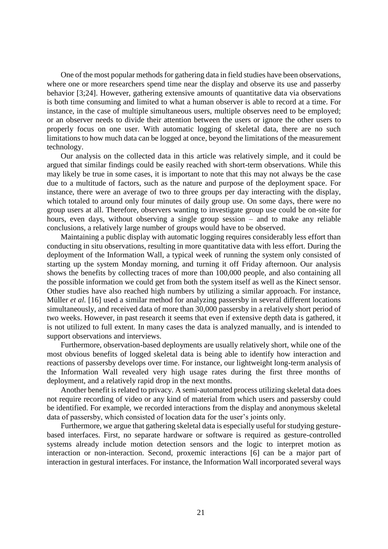One of the most popular methods for gathering data in field studies have been observations, where one or more researchers spend time near the display and observe its use and passerby behavior [3;24]. However, gathering extensive amounts of quantitative data via observations is both time consuming and limited to what a human observer is able to record at a time. For instance, in the case of multiple simultaneous users, multiple observes need to be employed; or an observer needs to divide their attention between the users or ignore the other users to properly focus on one user. With automatic logging of skeletal data, there are no such limitations to how much data can be logged at once, beyond the limitations of the measurement technology.

Our analysis on the collected data in this article was relatively simple, and it could be argued that similar findings could be easily reached with short-term observations. While this may likely be true in some cases, it is important to note that this may not always be the case due to a multitude of factors, such as the nature and purpose of the deployment space. For instance, there were an average of two to three groups per day interacting with the display, which totaled to around only four minutes of daily group use. On some days, there were no group users at all. Therefore, observers wanting to investigate group use could be on-site for hours, even days, without observing a single group session – and to make any reliable conclusions, a relatively large number of groups would have to be observed.

Maintaining a public display with automatic logging requires considerably less effort than conducting in situ observations, resulting in more quantitative data with less effort. During the deployment of the Information Wall, a typical week of running the system only consisted of starting up the system Monday morning, and turning it off Friday afternoon. Our analysis shows the benefits by collecting traces of more than 100,000 people, and also containing all the possible information we could get from both the system itself as well as the Kinect sensor. Other studies have also reached high numbers by utilizing a similar approach. For instance, Müller *et al.* [16] used a similar method for analyzing passers by in several different locations simultaneously, and received data of more than 30,000 passersby in a relatively short period of two weeks. However, in past research it seems that even if extensive depth data is gathered, it is not utilized to full extent. In many cases the data is analyzed manually, and is intended to support observations and interviews.

Furthermore, observation-based deployments are usually relatively short, while one of the most obvious benefits of logged skeletal data is being able to identify how interaction and reactions of passersby develops over time. For instance, our lightweight long-term analysis of the Information Wall revealed very high usage rates during the first three months of deployment, and a relatively rapid drop in the next months.

Another benefit is related to privacy. A semi-automated process utilizing skeletal data does not require recording of video or any kind of material from which users and passersby could be identified. For example, we recorded interactions from the display and anonymous skeletal data of passersby, which consisted of location data for the user's joints only.

Furthermore, we argue that gathering skeletal data is especially useful for studying gesturebased interfaces. First, no separate hardware or software is required as gesture-controlled systems already include motion detection sensors and the logic to interpret motion as interaction or non-interaction. Second, proxemic interactions [6] can be a major part of interaction in gestural interfaces. For instance, the Information Wall incorporated several ways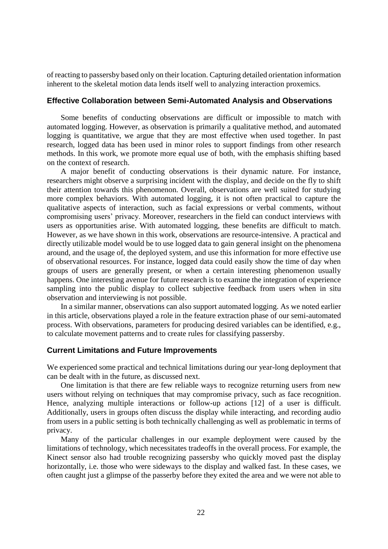of reacting to passersby based only on their location. Capturing detailed orientation information inherent to the skeletal motion data lends itself well to analyzing interaction proxemics.

#### **Effective Collaboration between Semi-Automated Analysis and Observations**

Some benefits of conducting observations are difficult or impossible to match with automated logging. However, as observation is primarily a qualitative method, and automated logging is quantitative, we argue that they are most effective when used together. In past research, logged data has been used in minor roles to support findings from other research methods. In this work, we promote more equal use of both, with the emphasis shifting based on the context of research.

A major benefit of conducting observations is their dynamic nature. For instance, researchers might observe a surprising incident with the display, and decide on the fly to shift their attention towards this phenomenon. Overall, observations are well suited for studying more complex behaviors. With automated logging, it is not often practical to capture the qualitative aspects of interaction, such as facial expressions or verbal comments, without compromising users' privacy. Moreover, researchers in the field can conduct interviews with users as opportunities arise. With automated logging, these benefits are difficult to match. However, as we have shown in this work, observations are resource-intensive. A practical and directly utilizable model would be to use logged data to gain general insight on the phenomena around, and the usage of, the deployed system, and use this information for more effective use of observational resources. For instance, logged data could easily show the time of day when groups of users are generally present, or when a certain interesting phenomenon usually happens. One interesting avenue for future research is to examine the integration of experience sampling into the public display to collect subjective feedback from users when in situ observation and interviewing is not possible.

In a similar manner, observations can also support automated logging. As we noted earlier in this article, observations played a role in the feature extraction phase of our semi-automated process. With observations, parameters for producing desired variables can be identified, e.g., to calculate movement patterns and to create rules for classifying passersby.

### **Current Limitations and Future Improvements**

We experienced some practical and technical limitations during our year-long deployment that can be dealt with in the future, as discussed next.

One limitation is that there are few reliable ways to recognize returning users from new users without relying on techniques that may compromise privacy, such as face recognition. Hence, analyzing multiple interactions or follow-up actions [12] of a user is difficult. Additionally, users in groups often discuss the display while interacting, and recording audio from users in a public setting is both technically challenging as well as problematic in terms of privacy.

Many of the particular challenges in our example deployment were caused by the limitations of technology, which necessitates tradeoffs in the overall process. For example, the Kinect sensor also had trouble recognizing passersby who quickly moved past the display horizontally, i.e. those who were sideways to the display and walked fast. In these cases, we often caught just a glimpse of the passerby before they exited the area and we were not able to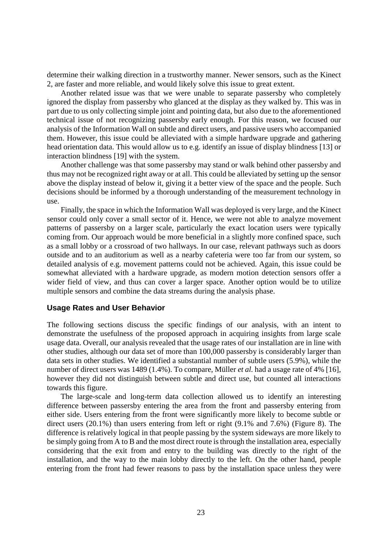determine their walking direction in a trustworthy manner. Newer sensors, such as the Kinect 2, are faster and more reliable, and would likely solve this issue to great extent.

Another related issue was that we were unable to separate passersby who completely ignored the display from passersby who glanced at the display as they walked by. This was in part due to us only collecting simple joint and pointing data, but also due to the aforementioned technical issue of not recognizing passersby early enough. For this reason, we focused our analysis of the Information Wall on subtle and direct users, and passive users who accompanied them. However, this issue could be alleviated with a simple hardware upgrade and gathering head orientation data. This would allow us to e.g. identify an issue of display blindness [13] or interaction blindness [19] with the system.

Another challenge was that some passersby may stand or walk behind other passersby and thus may not be recognized right away or at all. This could be alleviated by setting up the sensor above the display instead of below it, giving it a better view of the space and the people. Such decisions should be informed by a thorough understanding of the measurement technology in use.

Finally, the space in which the Information Wall was deployed is very large, and the Kinect sensor could only cover a small sector of it. Hence, we were not able to analyze movement patterns of passersby on a larger scale, particularly the exact location users were typically coming from. Our approach would be more beneficial in a slightly more confined space, such as a small lobby or a crossroad of two hallways. In our case, relevant pathways such as doors outside and to an auditorium as well as a nearby cafeteria were too far from our system, so detailed analysis of e.g. movement patterns could not be achieved. Again, this issue could be somewhat alleviated with a hardware upgrade, as modern motion detection sensors offer a wider field of view, and thus can cover a larger space. Another option would be to utilize multiple sensors and combine the data streams during the analysis phase.

#### **Usage Rates and User Behavior**

The following sections discuss the specific findings of our analysis, with an intent to demonstrate the usefulness of the proposed approach in acquiring insights from large scale usage data. Overall, our analysis revealed that the usage rates of our installation are in line with other studies, although our data set of more than 100,000 passersby is considerably larger than data sets in other studies. We identified a substantial number of subtle users (5.9%), while the number of direct users was 1489 (1.4%). To compare, Müller *et al.* had a usage rate of 4% [16], however they did not distinguish between subtle and direct use, but counted all interactions towards this figure.

The large-scale and long-term data collection allowed us to identify an interesting difference between passersby entering the area from the front and passersby entering from either side. Users entering from the front were significantly more likely to become subtle or direct users (20.1%) than users entering from left or right (9.1% and 7.6%) (Figure 8). The difference is relatively logical in that people passing by the system sideways are more likely to be simply going from A to B and the most direct route is through the installation area, especially considering that the exit from and entry to the building was directly to the right of the installation, and the way to the main lobby directly to the left. On the other hand, people entering from the front had fewer reasons to pass by the installation space unless they were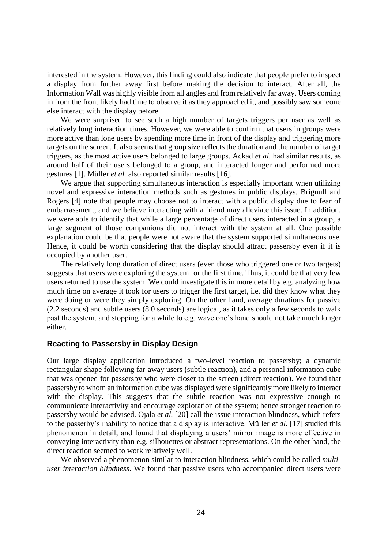interested in the system. However, this finding could also indicate that people prefer to inspect a display from further away first before making the decision to interact. After all, the Information Wall was highly visible from all angles and from relatively far away. Users coming in from the front likely had time to observe it as they approached it, and possibly saw someone else interact with the display before.

We were surprised to see such a high number of targets triggers per user as well as relatively long interaction times. However, we were able to confirm that users in groups were more active than lone users by spending more time in front of the display and triggering more targets on the screen. It also seems that group size reflects the duration and the number of target triggers, as the most active users belonged to large groups. Ackad *et al.* had similar results, as around half of their users belonged to a group, and interacted longer and performed more gestures [1]. Müller *et al.* also reported similar results [16].

We argue that supporting simultaneous interaction is especially important when utilizing novel and expressive interaction methods such as gestures in public displays. Brignull and Rogers [4] note that people may choose not to interact with a public display due to fear of embarrassment, and we believe interacting with a friend may alleviate this issue. In addition, we were able to identify that while a large percentage of direct users interacted in a group, a large segment of those companions did not interact with the system at all. One possible explanation could be that people were not aware that the system supported simultaneous use. Hence, it could be worth considering that the display should attract passersby even if it is occupied by another user.

The relatively long duration of direct users (even those who triggered one or two targets) suggests that users were exploring the system for the first time. Thus, it could be that very few users returned to use the system. We could investigate this in more detail by e.g. analyzing how much time on average it took for users to trigger the first target, i.e. did they know what they were doing or were they simply exploring. On the other hand, average durations for passive (2.2 seconds) and subtle users (8.0 seconds) are logical, as it takes only a few seconds to walk past the system, and stopping for a while to e.g. wave one's hand should not take much longer either.

#### **Reacting to Passersby in Display Design**

Our large display application introduced a two-level reaction to passersby; a dynamic rectangular shape following far-away users (subtle reaction), and a personal information cube that was opened for passersby who were closer to the screen (direct reaction). We found that passersby to whom an information cube was displayed were significantly more likely to interact with the display. This suggests that the subtle reaction was not expressive enough to communicate interactivity and encourage exploration of the system; hence stronger reaction to passersby would be advised. Ojala *et al.* [20] call the issue interaction blindness, which refers to the passerby's inability to notice that a display is interactive. Müller *et al.* [17] studied this phenomenon in detail, and found that displaying a users' mirror image is more effective in conveying interactivity than e.g. silhouettes or abstract representations. On the other hand, the direct reaction seemed to work relatively well.

We observed a phenomenon similar to interaction blindness, which could be called *multiuser interaction blindness*. We found that passive users who accompanied direct users were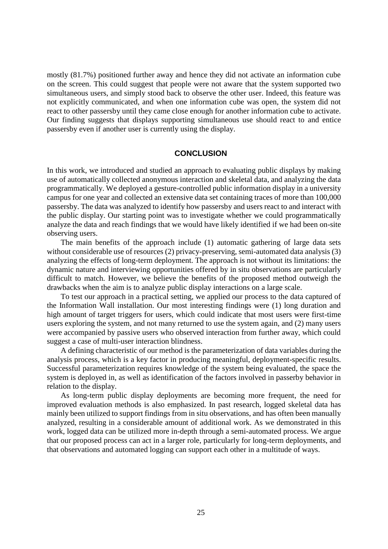mostly (81.7%) positioned further away and hence they did not activate an information cube on the screen. This could suggest that people were not aware that the system supported two simultaneous users, and simply stood back to observe the other user. Indeed, this feature was not explicitly communicated, and when one information cube was open, the system did not react to other passersby until they came close enough for another information cube to activate. Our finding suggests that displays supporting simultaneous use should react to and entice passersby even if another user is currently using the display.

### **CONCLUSION**

In this work, we introduced and studied an approach to evaluating public displays by making use of automatically collected anonymous interaction and skeletal data, and analyzing the data programmatically. We deployed a gesture-controlled public information display in a university campus for one year and collected an extensive data set containing traces of more than 100,000 passersby. The data was analyzed to identify how passersby and users react to and interact with the public display. Our starting point was to investigate whether we could programmatically analyze the data and reach findings that we would have likely identified if we had been on-site observing users.

The main benefits of the approach include (1) automatic gathering of large data sets without considerable use of resources (2) privacy-preserving, semi-automated data analysis (3) analyzing the effects of long-term deployment. The approach is not without its limitations: the dynamic nature and interviewing opportunities offered by in situ observations are particularly difficult to match. However, we believe the benefits of the proposed method outweigh the drawbacks when the aim is to analyze public display interactions on a large scale.

To test our approach in a practical setting, we applied our process to the data captured of the Information Wall installation. Our most interesting findings were (1) long duration and high amount of target triggers for users, which could indicate that most users were first-time users exploring the system, and not many returned to use the system again, and (2) many users were accompanied by passive users who observed interaction from further away, which could suggest a case of multi-user interaction blindness.

A defining characteristic of our method is the parameterization of data variables during the analysis process, which is a key factor in producing meaningful, deployment-specific results. Successful parameterization requires knowledge of the system being evaluated, the space the system is deployed in, as well as identification of the factors involved in passerby behavior in relation to the display.

As long-term public display deployments are becoming more frequent, the need for improved evaluation methods is also emphasized. In past research, logged skeletal data has mainly been utilized to support findings from in situ observations, and has often been manually analyzed, resulting in a considerable amount of additional work. As we demonstrated in this work, logged data can be utilized more in-depth through a semi-automated process. We argue that our proposed process can act in a larger role, particularly for long-term deployments, and that observations and automated logging can support each other in a multitude of ways.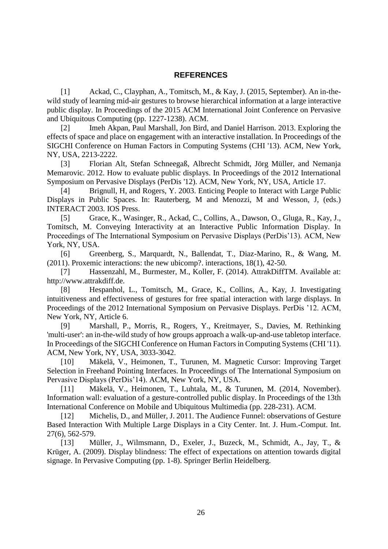### **REFERENCES**

[1] Ackad, C., Clayphan, A., Tomitsch, M., & Kay, J. (2015, September). An in-thewild study of learning mid-air gestures to browse hierarchical information at a large interactive public display. In Proceedings of the 2015 ACM International Joint Conference on Pervasive and Ubiquitous Computing (pp. 1227-1238). ACM.

[2] Imeh Akpan, Paul Marshall, Jon Bird, and Daniel Harrison. 2013. Exploring the effects of space and place on engagement with an interactive installation. In Proceedings of the SIGCHI Conference on Human Factors in Computing Systems (CHI '13). ACM, New York, NY, USA, 2213-2222.

[3] Florian Alt, Stefan Schneegaß, Albrecht Schmidt, Jörg Müller, and Nemanja Memarovic. 2012. How to evaluate public displays. In Proceedings of the 2012 International Symposium on Pervasive Displays (PerDis '12). ACM, New York, NY, USA, Article 17.

[4] Brignull, H, and Rogers, Y. 2003. Enticing People to Interact with Large Public Displays in Public Spaces. In: Rauterberg, M and Menozzi, M and Wesson, J, (eds.) INTERACT 2003. IOS Press.

[5] Grace, K., Wasinger, R., Ackad, C., Collins, A., Dawson, O., Gluga, R., Kay, J., Tomitsch, M. Conveying Interactivity at an Interactive Public Information Display. In Proceedings of The International Symposium on Pervasive Displays (PerDis'13). ACM, New York, NY, USA.

[6] Greenberg, S., Marquardt, N., Ballendat, T., Diaz-Marino, R., & Wang, M. (2011). Proxemic interactions: the new ubicomp?. interactions, 18(1), 42-50.

[7] Hassenzahl, M., Burmester, M., Koller, F. (2014). AttrakDiffTM. Available at: http://www.attrakdiff.de.

[8] Hespanhol, L., Tomitsch, M., Grace, K., Collins, A., Kay, J. Investigating intuitiveness and effectiveness of gestures for free spatial interaction with large displays. In Proceedings of the 2012 International Symposium on Pervasive Displays. PerDis '12. ACM, New York, NY, Article 6.

[9] Marshall, P., Morris, R., Rogers, Y., Kreitmayer, S., Davies, M. Rethinking 'multi-user': an in-the-wild study of how groups approach a walk-up-and-use tabletop interface. In Proceedings of the SIGCHI Conference on Human Factors in Computing Systems (CHI '11). ACM, New York, NY, USA, 3033-3042.

[10] Mäkelä, V., Heimonen, T., Turunen, M. Magnetic Cursor: Improving Target Selection in Freehand Pointing Interfaces. In Proceedings of The International Symposium on Pervasive Displays (PerDis'14). ACM, New York, NY, USA.

[11] Mäkelä, V., Heimonen, T., Luhtala, M., & Turunen, M. (2014, November). Information wall: evaluation of a gesture-controlled public display. In Proceedings of the 13th International Conference on Mobile and Ubiquitous Multimedia (pp. 228-231). ACM.

[12] Michelis, D., and Müller, J. 2011. The Audience Funnel: observations of Gesture Based Interaction With Multiple Large Displays in a City Center. Int. J. Hum.-Comput. Int. 27(6), 562-579.

[13] Müller, J., Wilmsmann, D., Exeler, J., Buzeck, M., Schmidt, A., Jay, T., & Krüger, A. (2009). Display blindness: The effect of expectations on attention towards digital signage. In Pervasive Computing (pp. 1-8). Springer Berlin Heidelberg.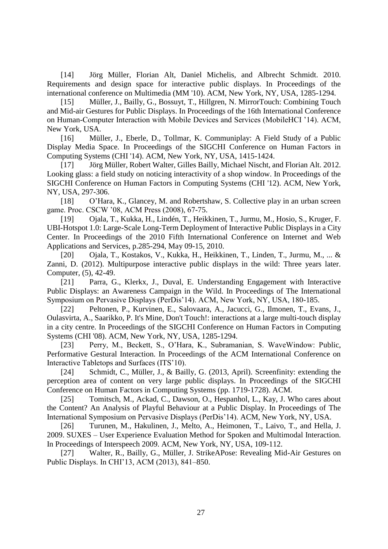[14] Jörg Müller, Florian Alt, Daniel Michelis, and Albrecht Schmidt. 2010. Requirements and design space for interactive public displays. In Proceedings of the international conference on Multimedia (MM '10). ACM, New York, NY, USA, 1285-1294.

[15] Müller, J., Bailly, G., Bossuyt, T., Hillgren, N. MirrorTouch: Combining Touch and Mid-air Gestures for Public Displays. In Proceedings of the 16th International Conference on Human-Computer Interaction with Mobile Devices and Services (MobileHCI '14). ACM, New York, USA.

[16] Müller, J., Eberle, D., Tollmar, K. Communiplay: A Field Study of a Public Display Media Space. In Proceedings of the SIGCHI Conference on Human Factors in Computing Systems (CHI '14). ACM, New York, NY, USA, 1415-1424.

[17] Jörg Müller, Robert Walter, Gilles Bailly, Michael Nischt, and Florian Alt. 2012. Looking glass: a field study on noticing interactivity of a shop window. In Proceedings of the SIGCHI Conference on Human Factors in Computing Systems (CHI '12). ACM, New York, NY, USA, 297-306.

[18] O'Hara, K., Glancey, M. and Robertshaw, S. Collective play in an urban screen game. Proc. CSCW '08, ACM Press (2008), 67-75.

[19] Ojala, T., Kukka, H., Lindén, T., Heikkinen, T., Jurmu, M., Hosio, S., Kruger, F. UBI-Hotspot 1.0: Large-Scale Long-Term Deployment of Interactive Public Displays in a City Center. In Proceedings of the 2010 Fifth International Conference on Internet and Web Applications and Services, p.285-294, May 09-15, 2010.

[20] Ojala, T., Kostakos, V., Kukka, H., Heikkinen, T., Linden, T., Jurmu, M., ... & Zanni, D. (2012). Multipurpose interactive public displays in the wild: Three years later. Computer, (5), 42-49.

[21] Parra, G., Klerkx, J., Duval, E. Understanding Engagement with Interactive Public Displays: an Awareness Campaign in the Wild. In Proceedings of The International Symposium on Pervasive Displays (PerDis'14). ACM, New York, NY, USA, 180-185.

[22] Peltonen, P., Kurvinen, E., Salovaara, A., Jacucci, G., Ilmonen, T., Evans, J., Oulasvirta, A., Saarikko, P. It's Mine, Don't Touch!: interactions at a large multi-touch display in a city centre. In Proceedings of the SIGCHI Conference on Human Factors in Computing Systems (CHI '08). ACM, New York, NY, USA, 1285-1294.

[23] Perry, M., Beckett, S., O'Hara, K., Subramanian, S. WaveWindow: Public, Performative Gestural Interaction. In Proceedings of the ACM International Conference on Interactive Tabletops and Surfaces (ITS'10).

[24] Schmidt, C., Müller, J., & Bailly, G. (2013, April). Screenfinity: extending the perception area of content on very large public displays. In Proceedings of the SIGCHI Conference on Human Factors in Computing Systems (pp. 1719-1728). ACM.

[25] Tomitsch, M., Ackad, C., Dawson, O., Hespanhol, L., Kay, J. Who cares about the Content? An Analysis of Playful Behaviour at a Public Display. In Proceedings of The International Symposium on Pervasive Displays (PerDis'14). ACM, New York, NY, USA.

[26] Turunen, M., Hakulinen, J., Melto, A., Heimonen, T., Laivo, T., and Hella, J. 2009. SUXES – User Experience Evaluation Method for Spoken and Multimodal Interaction. In Proceedings of Interspeech 2009. ACM, New York, NY, USA, 109-112.

[27] Walter, R., Bailly, G., Müller, J. StrikeAPose: Revealing Mid-Air Gestures on Public Displays. In CHI'13, ACM (2013), 841–850.